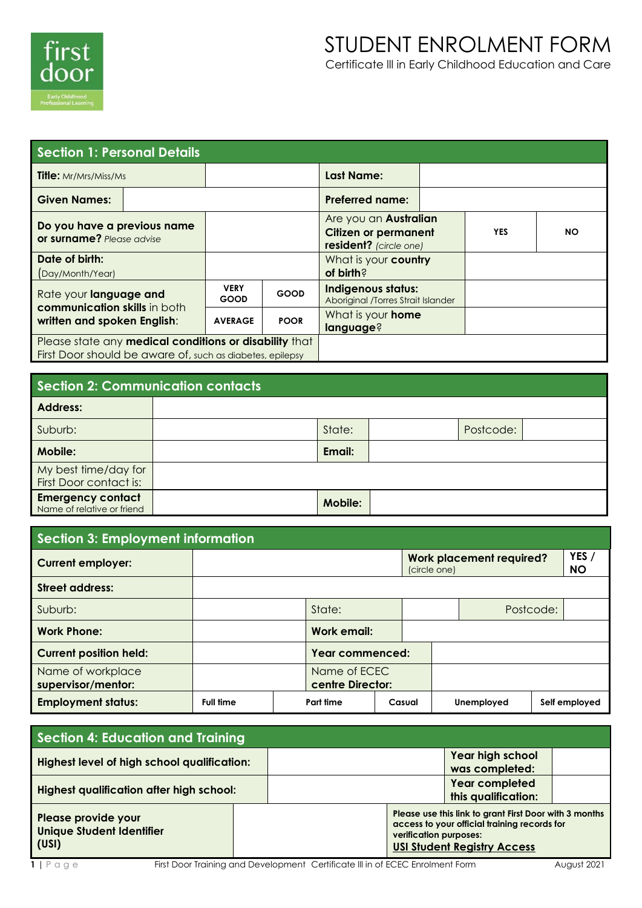

| <b>Section 1: Personal Details</b>                        |                            |                                                                                       |                                                          |            |           |  |  |  |
|-----------------------------------------------------------|----------------------------|---------------------------------------------------------------------------------------|----------------------------------------------------------|------------|-----------|--|--|--|
| <b>Title:</b> Mr/Mrs/Miss/Ms                              |                            |                                                                                       | <b>Last Name:</b>                                        |            |           |  |  |  |
| <b>Given Names:</b>                                       |                            |                                                                                       | <b>Preferred name:</b>                                   |            |           |  |  |  |
| Do you have a previous name<br>or surname? Please advise  |                            | Are you an <b>Australian</b><br><b>Citizen or permanent</b><br>resident? (circle one) |                                                          | <b>YES</b> | <b>NO</b> |  |  |  |
| Date of birth:<br>Day/Month/Year)                         |                            |                                                                                       | What is your <b>country</b><br>of birth?                 |            |           |  |  |  |
| Rate your language and<br>communication skills in both    | <b>VERY</b><br><b>GOOD</b> | <b>GOOD</b>                                                                           | Indigenous status:<br>Aboriginal /Torres Strait Islander |            |           |  |  |  |
| written and spoken English:                               | <b>AVERAGE</b>             | <b>POOR</b>                                                                           | What is your <b>home</b><br>language?                    |            |           |  |  |  |
| Please state any medical conditions or disability that    |                            |                                                                                       |                                                          |            |           |  |  |  |
| First Door should be aware of, such as diabetes, epilepsy |                            |                                                                                       |                                                          |            |           |  |  |  |

## **Section 2: Communication contacts**

| <b>Address:</b>                                        |                |           |  |
|--------------------------------------------------------|----------------|-----------|--|
| Suburb:                                                | State:         | Postcode: |  |
| <b>Mobile:</b>                                         | Email:         |           |  |
| My best time/day for<br>First Door contact is:         |                |           |  |
| <b>Emergency contact</b><br>Name of relative or friend | <b>Mobile:</b> |           |  |

| <b>Section 3: Employment information</b> |                  |           |                                  |                                                 |  |            |  |                    |  |
|------------------------------------------|------------------|-----------|----------------------------------|-------------------------------------------------|--|------------|--|--------------------|--|
| <b>Current employer:</b>                 |                  |           |                                  | <b>Work placement required?</b><br>(circle one) |  |            |  | YES /<br><b>NO</b> |  |
| <b>Street address:</b>                   |                  |           |                                  |                                                 |  |            |  |                    |  |
| Suburb:                                  |                  |           | State:                           |                                                 |  |            |  | Postcode:          |  |
| <b>Work Phone:</b>                       |                  |           | Work email:                      |                                                 |  |            |  |                    |  |
| <b>Current position held:</b>            |                  |           | Year commenced:                  |                                                 |  |            |  |                    |  |
| Name of workplace<br>supervisor/mentor:  |                  |           | Name of ECEC<br>centre Director: |                                                 |  |            |  |                    |  |
| <b>Employment status:</b>                | <b>Full time</b> | Part time |                                  | Casual                                          |  | Unemployed |  | Self employed      |  |

| Section 4: Education and Training                                |  |  |                        |                                                                                                                                              |  |  |  |
|------------------------------------------------------------------|--|--|------------------------|----------------------------------------------------------------------------------------------------------------------------------------------|--|--|--|
| Highest level of high school qualification:                      |  |  |                        | Year high school<br>was completed:                                                                                                           |  |  |  |
| <b>Highest qualification after high school:</b>                  |  |  |                        | <b>Year completed</b><br>this qualification:                                                                                                 |  |  |  |
| Please provide your<br><b>Unique Student Identifier</b><br>(USI) |  |  | verification purposes: | Please use this link to grant First Door with 3 months<br>access to your official training records for<br><b>USI Student Registry Access</b> |  |  |  |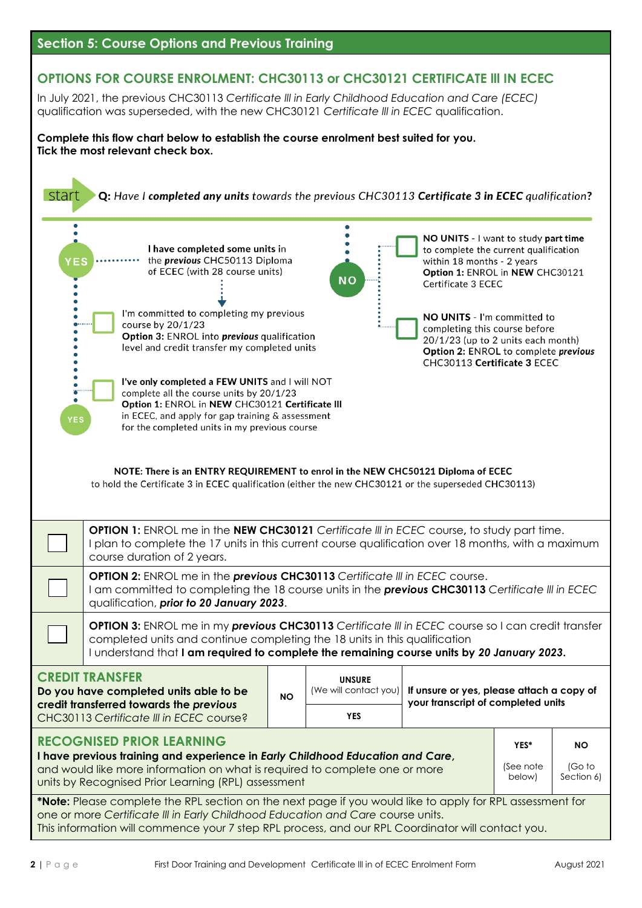

# **OPTIONS FOR COURSE ENROLMENT: CHC30113 or CHC30121 CERTIFICATE lll IN ECEC**

In July 2021, the previous CHC30113 *Certificate lll in Early Childhood Education and Care (ECEC)*  qualification was superseded, with the new CHC30121 *Certificate lll in ECEC* qualification.

**Complete this flow chart below to establish the course enrolment best suited for you. Tick the most relevant check box.**

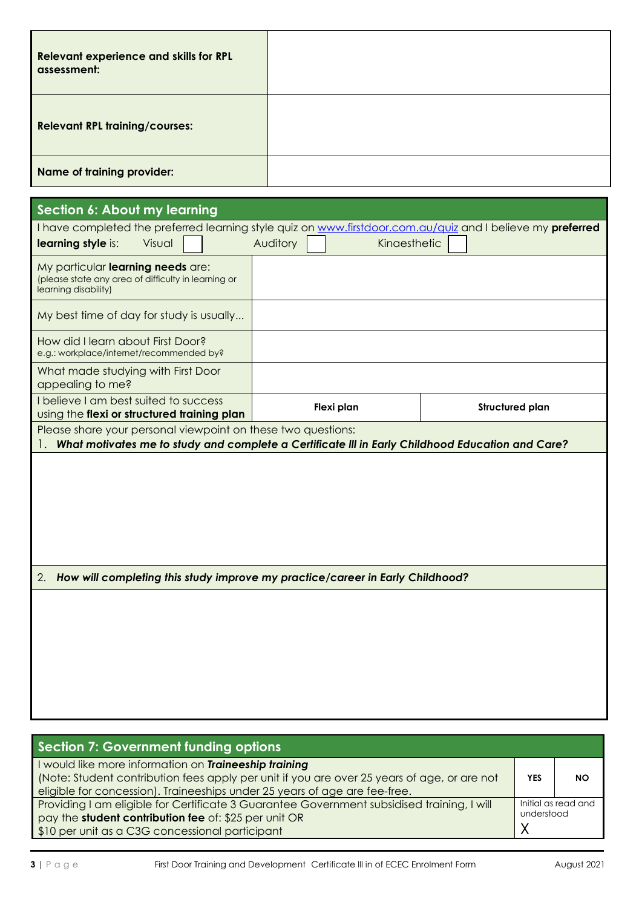| Relevant experience and skills for RPL<br>assessment: |  |
|-------------------------------------------------------|--|
| <b>Relevant RPL training/courses:</b>                 |  |
| Name of training provider:                            |  |

| Section 6: About my learning                                                                                     |                                                                                                                                                                  |  |  |          |  |                                                                               |                        |                                                                                                            |
|------------------------------------------------------------------------------------------------------------------|------------------------------------------------------------------------------------------------------------------------------------------------------------------|--|--|----------|--|-------------------------------------------------------------------------------|------------------------|------------------------------------------------------------------------------------------------------------|
|                                                                                                                  |                                                                                                                                                                  |  |  |          |  |                                                                               |                        | I have completed the preferred learning style quiz on www.firstdoor.com.au/quiz and I believe my preferred |
| learning style is:                                                                                               | Visual                                                                                                                                                           |  |  | Auditory |  | Kinaesthetic                                                                  |                        |                                                                                                            |
| My particular learning needs are:<br>(please state any area of difficulty in learning or<br>learning disability) |                                                                                                                                                                  |  |  |          |  |                                                                               |                        |                                                                                                            |
| My best time of day for study is usually                                                                         |                                                                                                                                                                  |  |  |          |  |                                                                               |                        |                                                                                                            |
| How did I learn about First Door?<br>e.g.: workplace/internet/recommended by?                                    |                                                                                                                                                                  |  |  |          |  |                                                                               |                        |                                                                                                            |
| What made studying with First Door<br>appealing to me?                                                           |                                                                                                                                                                  |  |  |          |  |                                                                               |                        |                                                                                                            |
| I believe I am best suited to success<br>using the flexi or structured training plan                             |                                                                                                                                                                  |  |  |          |  | Flexi plan                                                                    | <b>Structured plan</b> |                                                                                                            |
|                                                                                                                  | Please share your personal viewpoint on these two questions:<br>What motivates me to study and complete a Certificate III in Early Childhood Education and Care? |  |  |          |  |                                                                               |                        |                                                                                                            |
|                                                                                                                  |                                                                                                                                                                  |  |  |          |  |                                                                               |                        |                                                                                                            |
|                                                                                                                  |                                                                                                                                                                  |  |  |          |  |                                                                               |                        |                                                                                                            |
| 2.                                                                                                               |                                                                                                                                                                  |  |  |          |  | How will completing this study improve my practice/career in Early Childhood? |                        |                                                                                                            |
|                                                                                                                  |                                                                                                                                                                  |  |  |          |  |                                                                               |                        |                                                                                                            |
|                                                                                                                  |                                                                                                                                                                  |  |  |          |  |                                                                               |                        |                                                                                                            |
|                                                                                                                  |                                                                                                                                                                  |  |  |          |  |                                                                               |                        |                                                                                                            |
|                                                                                                                  |                                                                                                                                                                  |  |  |          |  |                                                                               |                        |                                                                                                            |
|                                                                                                                  |                                                                                                                                                                  |  |  |          |  |                                                                               |                        |                                                                                                            |
|                                                                                                                  |                                                                                                                                                                  |  |  |          |  |                                                                               |                        |                                                                                                            |

| <b>Section 7: Government funding options</b>                                                                                                                                                                                     |            |                     |
|----------------------------------------------------------------------------------------------------------------------------------------------------------------------------------------------------------------------------------|------------|---------------------|
| would like more information on Traineeship training<br>(Note: Student contribution fees apply per unit if you are over 25 years of age, or are not<br>eligible for concession). Traineeships under 25 years of age are fee-free. | <b>YES</b> | NΟ                  |
| Providing I am eligible for Certificate 3 Guarantee Government subsidised training, I will<br>pay the student contribution fee of: \$25 per unit OR<br>\$10 per unit as a C3G concessional participant                           | understood | Initial as read and |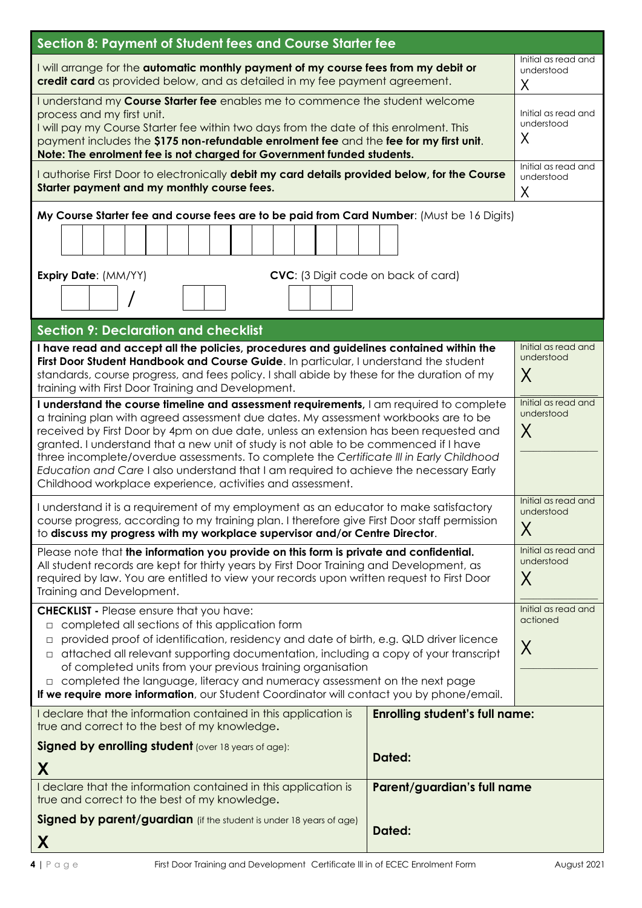| Section 8: Payment of Student fees and Course Starter fee                                                                                                                                                                                                                                                                                                                                                                                                                                                                                                                                                           |                                        |                                        |
|---------------------------------------------------------------------------------------------------------------------------------------------------------------------------------------------------------------------------------------------------------------------------------------------------------------------------------------------------------------------------------------------------------------------------------------------------------------------------------------------------------------------------------------------------------------------------------------------------------------------|----------------------------------------|----------------------------------------|
| I will arrange for the <b>automatic monthly payment of my course fees from my debit or</b><br>credit card as provided below, and as detailed in my fee payment agreement.                                                                                                                                                                                                                                                                                                                                                                                                                                           |                                        | Initial as read and<br>understood<br>Χ |
| I understand my Course Starter fee enables me to commence the student welcome<br>process and my first unit.<br>I will pay my Course Starter fee within two days from the date of this enrolment. This<br>payment includes the \$175 non-refundable enrolment fee and the fee for my first unit.<br>Note: The enrolment fee is not charged for Government funded students.                                                                                                                                                                                                                                           |                                        | Initial as read and<br>understood<br>Χ |
| I authorise First Door to electronically debit my card details provided below, for the Course<br>Starter payment and my monthly course fees.                                                                                                                                                                                                                                                                                                                                                                                                                                                                        | Initial as read and<br>understood<br>X |                                        |
| My Course Starter fee and course fees are to be paid from Card Number: (Must be 16 Digits)<br>CVC: (3 Digit code on back of card)<br><b>Expiry Date: (MM/YY)</b>                                                                                                                                                                                                                                                                                                                                                                                                                                                    |                                        |                                        |
|                                                                                                                                                                                                                                                                                                                                                                                                                                                                                                                                                                                                                     |                                        |                                        |
| <b>Section 9: Declaration and checklist</b>                                                                                                                                                                                                                                                                                                                                                                                                                                                                                                                                                                         |                                        |                                        |
| I have read and accept all the policies, procedures and guidelines contained within the<br>First Door Student Handbook and Course Guide. In particular, I understand the student<br>standards, course progress, and fees policy. I shall abide by these for the duration of my<br>training with First Door Training and Development.                                                                                                                                                                                                                                                                                | Initial as read and<br>understood<br>X |                                        |
| I understand the course timeline and assessment requirements, I am required to complete<br>a training plan with agreed assessment due dates. My assessment workbooks are to be<br>received by First Door by 4pm on due date, unless an extension has been requested and<br>granted. I understand that a new unit of study is not able to be commenced if I have<br>three incomplete/overdue assessments. To complete the Certificate III in Early Childhood<br>Education and Care I also understand that I am required to achieve the necessary Early<br>Childhood workplace experience, activities and assessment. | Initial as read and<br>understood<br>X |                                        |
| I understand it is a requirement of my employment as an educator to make satisfactory<br>course progress, according to my training plan. I therefore give First Door staff permission<br>to discuss my progress with my workplace supervisor and/or Centre Director.                                                                                                                                                                                                                                                                                                                                                |                                        | Initial as read and<br>understood<br>X |
| Please note that the information you provide on this form is private and confidential.<br>All student records are kept for thirty years by First Door Training and Development, as<br>required by law. You are entitled to view your records upon written request to First Door<br>Training and Development.                                                                                                                                                                                                                                                                                                        | Initial as read and<br>understood<br>X |                                        |
| <b>CHECKLIST</b> - Please ensure that you have:<br>completed all sections of this application form<br>$\Box$<br>provided proof of identification, residency and date of birth, e.g. QLD driver licence<br>$\Box$<br>attached all relevant supporting documentation, including a copy of your transcript<br>$\Box$<br>of completed units from your previous training organisation<br>$\Box$ completed the language, literacy and numeracy assessment on the next page<br>If we require more information, our Student Coordinator will contact you by phone/email.                                                    | Initial as read and<br>actioned<br>X   |                                        |
| I declare that the information contained in this application is<br>true and correct to the best of my knowledge.                                                                                                                                                                                                                                                                                                                                                                                                                                                                                                    | <b>Enrolling student's full name:</b>  |                                        |
| <b>Signed by enrolling student</b> (over 18 years of age):                                                                                                                                                                                                                                                                                                                                                                                                                                                                                                                                                          | Dated:                                 |                                        |
| X                                                                                                                                                                                                                                                                                                                                                                                                                                                                                                                                                                                                                   |                                        |                                        |
| I declare that the information contained in this application is<br>true and correct to the best of my knowledge.                                                                                                                                                                                                                                                                                                                                                                                                                                                                                                    | Parent/guardian's full name            |                                        |
| Signed by parent/guardian (if the student is under 18 years of age)<br>X                                                                                                                                                                                                                                                                                                                                                                                                                                                                                                                                            | Dated:                                 |                                        |
|                                                                                                                                                                                                                                                                                                                                                                                                                                                                                                                                                                                                                     |                                        |                                        |